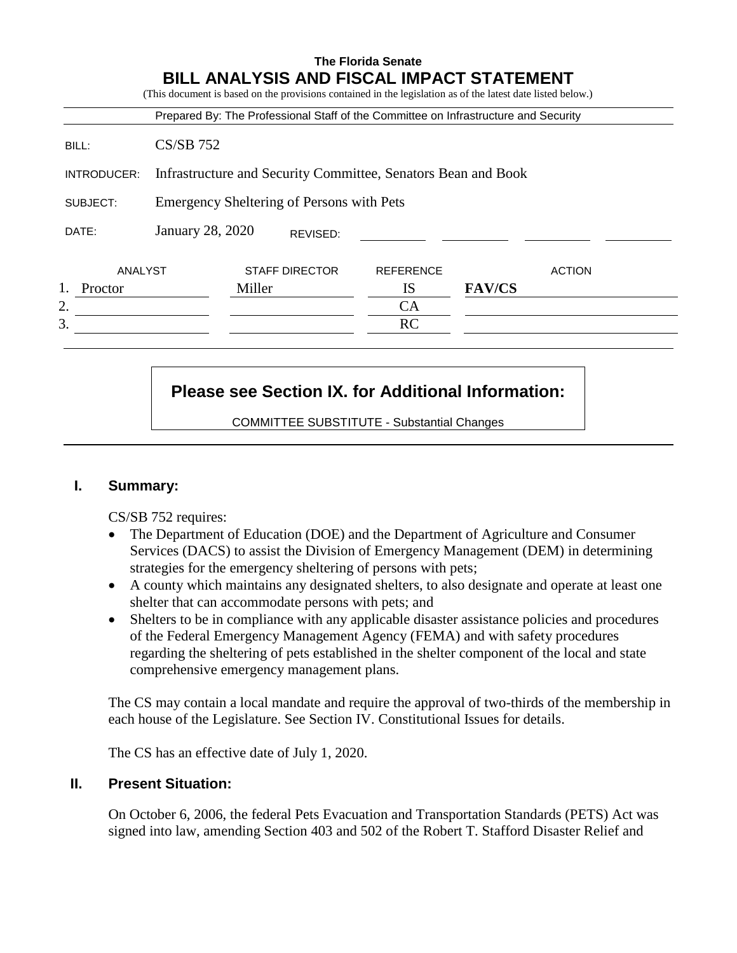|             |                                                               |        |                       | Prepared By: The Professional Staff of the Committee on Infrastructure and Security |               |               |
|-------------|---------------------------------------------------------------|--------|-----------------------|-------------------------------------------------------------------------------------|---------------|---------------|
| BILL:       | $CS/SB$ 752                                                   |        |                       |                                                                                     |               |               |
| INTRODUCER: | Infrastructure and Security Committee, Senators Bean and Book |        |                       |                                                                                     |               |               |
| SUBJECT:    | Emergency Sheltering of Persons with Pets                     |        |                       |                                                                                     |               |               |
| DATE:       | January 28, 2020                                              |        | REVISED:              |                                                                                     |               |               |
| ANALYST     |                                                               |        | <b>STAFF DIRECTOR</b> | <b>REFERENCE</b>                                                                    |               | <b>ACTION</b> |
| Proctor     |                                                               | Miller |                       | <b>IS</b>                                                                           | <b>FAV/CS</b> |               |
| 2.          |                                                               |        |                       | <b>CA</b>                                                                           |               |               |
| 3.          |                                                               |        |                       | RC                                                                                  |               |               |

# **Please see Section IX. for Additional Information:**

COMMITTEE SUBSTITUTE - Substantial Changes

## **I. Summary:**

CS/SB 752 requires:

- The Department of Education (DOE) and the Department of Agriculture and Consumer Services (DACS) to assist the Division of Emergency Management (DEM) in determining strategies for the emergency sheltering of persons with pets;
- A county which maintains any designated shelters, to also designate and operate at least one shelter that can accommodate persons with pets; and
- Shelters to be in compliance with any applicable disaster assistance policies and procedures of the Federal Emergency Management Agency (FEMA) and with safety procedures regarding the sheltering of pets established in the shelter component of the local and state comprehensive emergency management plans.

The CS may contain a local mandate and require the approval of two-thirds of the membership in each house of the Legislature. See Section IV. Constitutional Issues for details.

The CS has an effective date of July 1, 2020.

# **II. Present Situation:**

On October 6, 2006, the federal Pets Evacuation and Transportation Standards (PETS) Act was signed into law, amending Section 403 and 502 of the Robert T. Stafford Disaster Relief and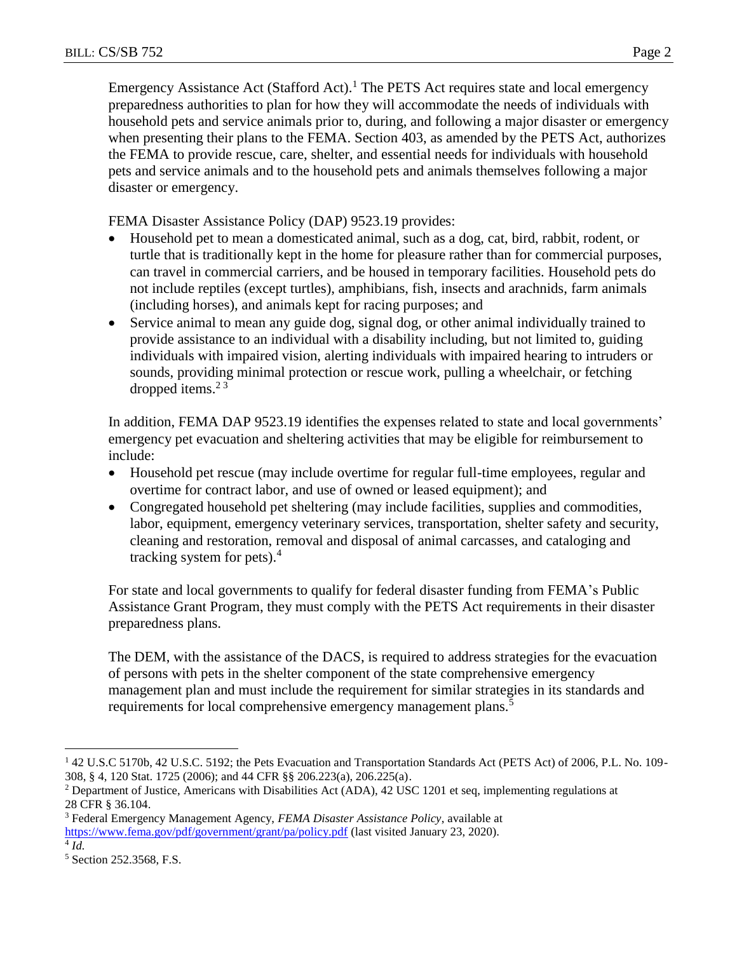Emergency Assistance Act (Stafford Act).<sup>1</sup> The PETS Act requires state and local emergency preparedness authorities to plan for how they will accommodate the needs of individuals with household pets and service animals prior to, during, and following a major disaster or emergency when presenting their plans to the FEMA. Section 403, as amended by the PETS Act, authorizes the FEMA to provide rescue, care, shelter, and essential needs for individuals with household pets and service animals and to the household pets and animals themselves following a major disaster or emergency.

FEMA Disaster Assistance Policy (DAP) 9523.19 provides:

- Household pet to mean a domesticated animal, such as a dog, cat, bird, rabbit, rodent, or turtle that is traditionally kept in the home for pleasure rather than for commercial purposes, can travel in commercial carriers, and be housed in temporary facilities. Household pets do not include reptiles (except turtles), amphibians, fish, insects and arachnids, farm animals (including horses), and animals kept for racing purposes; and
- Service animal to mean any guide dog, signal dog, or other animal individually trained to provide assistance to an individual with a disability including, but not limited to, guiding individuals with impaired vision, alerting individuals with impaired hearing to intruders or sounds, providing minimal protection or rescue work, pulling a wheelchair, or fetching dropped items. $2<sup>3</sup>$

In addition, FEMA DAP 9523.19 identifies the expenses related to state and local governments' emergency pet evacuation and sheltering activities that may be eligible for reimbursement to include:

- Household pet rescue (may include overtime for regular full-time employees, regular and overtime for contract labor, and use of owned or leased equipment); and
- Congregated household pet sheltering (may include facilities, supplies and commodities, labor, equipment, emergency veterinary services, transportation, shelter safety and security, cleaning and restoration, removal and disposal of animal carcasses, and cataloging and tracking system for pets). 4

For state and local governments to qualify for federal disaster funding from FEMA's Public Assistance Grant Program, they must comply with the PETS Act requirements in their disaster preparedness plans.

The DEM, with the assistance of the DACS, is required to address strategies for the evacuation of persons with pets in the shelter component of the state comprehensive emergency management plan and must include the requirement for similar strategies in its standards and requirements for local comprehensive emergency management plans.<sup>5</sup>

4 *Id.*

 $\overline{a}$ 

<sup>1</sup> 42 U.S.C 5170b, 42 U.S.C. 5192; the Pets Evacuation and Transportation Standards Act (PETS Act) of 2006, P.L. No. 109- 308, § 4, 120 Stat. 1725 (2006); and 44 CFR §§ 206.223(a), 206.225(a).

<sup>&</sup>lt;sup>2</sup> Department of Justice, Americans with Disabilities Act (ADA), 42 USC 1201 et seq, implementing regulations at 28 CFR § 36.104.

<sup>3</sup> Federal Emergency Management Agency, *FEMA Disaster Assistance Policy*, available at <https://www.fema.gov/pdf/government/grant/pa/policy.pdf> (last visited January 23, 2020).

<sup>5</sup> Section 252.3568, F.S.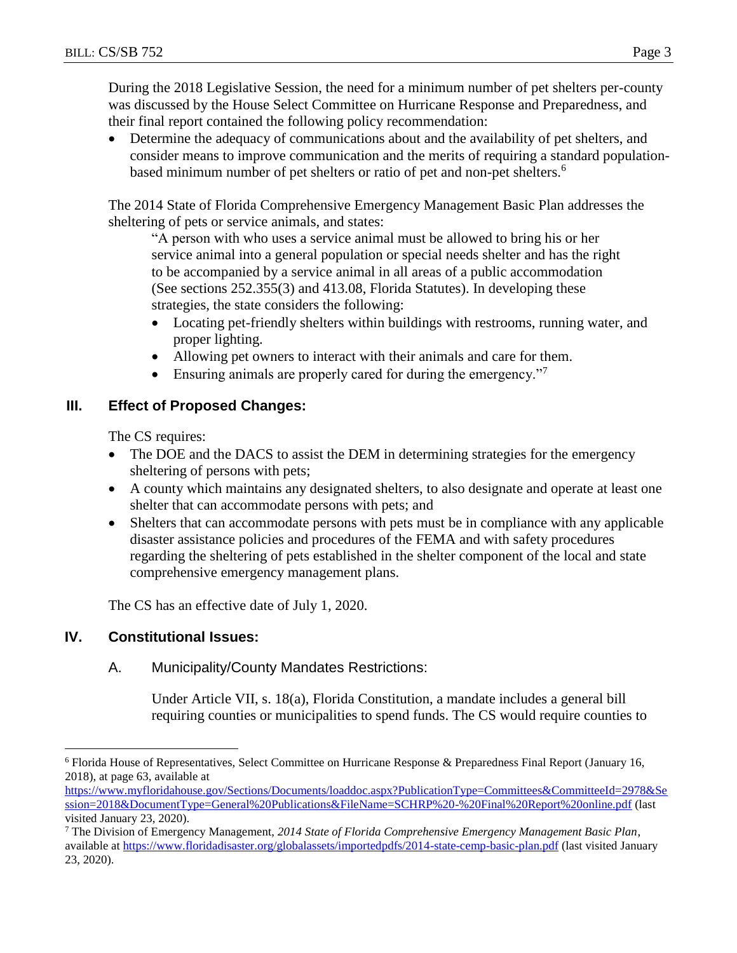During the 2018 Legislative Session, the need for a minimum number of pet shelters per-county was discussed by the House Select Committee on Hurricane Response and Preparedness, and their final report contained the following policy recommendation:

 Determine the adequacy of communications about and the availability of pet shelters, and consider means to improve communication and the merits of requiring a standard populationbased minimum number of pet shelters or ratio of pet and non-pet shelters.<sup>6</sup>

The 2014 State of Florida Comprehensive Emergency Management Basic Plan addresses the sheltering of pets or service animals, and states:

"A person with who uses a service animal must be allowed to bring his or her service animal into a general population or special needs shelter and has the right to be accompanied by a service animal in all areas of a public accommodation (See sections 252.355(3) and 413.08, Florida Statutes). In developing these strategies, the state considers the following:

- Locating pet-friendly shelters within buildings with restrooms, running water, and proper lighting.
- Allowing pet owners to interact with their animals and care for them.
- Ensuring animals are properly cared for during the emergency."

# **III. Effect of Proposed Changes:**

The CS requires:

- The DOE and the DACS to assist the DEM in determining strategies for the emergency sheltering of persons with pets;
- A county which maintains any designated shelters, to also designate and operate at least one shelter that can accommodate persons with pets; and
- Shelters that can accommodate persons with pets must be in compliance with any applicable disaster assistance policies and procedures of the FEMA and with safety procedures regarding the sheltering of pets established in the shelter component of the local and state comprehensive emergency management plans.

The CS has an effective date of July 1, 2020.

# **IV. Constitutional Issues:**

 $\overline{a}$ 

# A. Municipality/County Mandates Restrictions:

Under Article VII, s. 18(a), Florida Constitution, a mandate includes a general bill requiring counties or municipalities to spend funds. The CS would require counties to

<sup>6</sup> Florida House of Representatives, Select Committee on Hurricane Response & Preparedness Final Report (January 16, 2018), at page 63, available at

[https://www.myfloridahouse.gov/Sections/Documents/loaddoc.aspx?PublicationType=Committees&CommitteeId=2978&Se](https://www.myfloridahouse.gov/Sections/Documents/loaddoc.aspx?PublicationType=Committees&CommitteeId=2978&Session=2018&DocumentType=General%20Publications&FileName=SCHRP%20-%20Final%20Report%20online.pdf) [ssion=2018&DocumentType=General%20Publications&FileName=SCHRP%20-%20Final%20Report%20online.pdf](https://www.myfloridahouse.gov/Sections/Documents/loaddoc.aspx?PublicationType=Committees&CommitteeId=2978&Session=2018&DocumentType=General%20Publications&FileName=SCHRP%20-%20Final%20Report%20online.pdf) (last visited January 23, 2020).

<sup>7</sup> The Division of Emergency Management, *2014 State of Florida Comprehensive Emergency Management Basic Plan*, available at<https://www.floridadisaster.org/globalassets/importedpdfs/2014-state-cemp-basic-plan.pdf> (last visited January 23, 2020).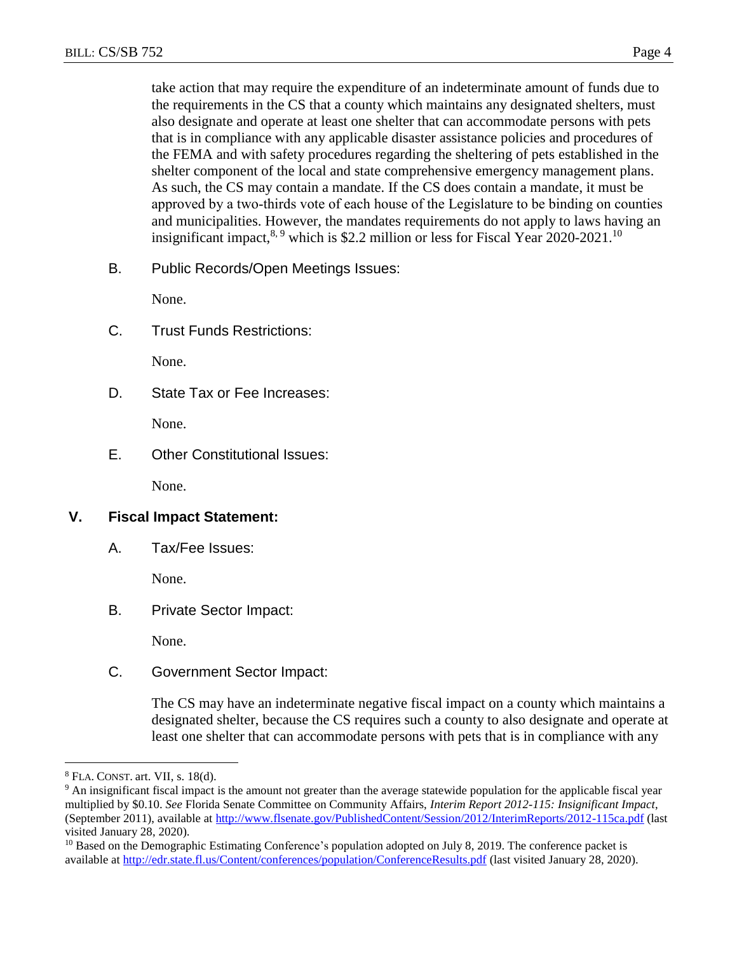take action that may require the expenditure of an indeterminate amount of funds due to the requirements in the CS that a county which maintains any designated shelters, must also designate and operate at least one shelter that can accommodate persons with pets that is in compliance with any applicable disaster assistance policies and procedures of the FEMA and with safety procedures regarding the sheltering of pets established in the shelter component of the local and state comprehensive emergency management plans. As such, the CS may contain a mandate. If the CS does contain a mandate, it must be approved by a two‐thirds vote of each house of the Legislature to be binding on counties and municipalities. However, the mandates requirements do not apply to laws having an insignificant impact,  $8.9$  which is \$2.2 million or less for Fiscal Year 2020-2021.<sup>10</sup>

B. Public Records/Open Meetings Issues:

None.

C. Trust Funds Restrictions:

None.

D. State Tax or Fee Increases:

None.

E. Other Constitutional Issues:

None.

#### **V. Fiscal Impact Statement:**

A. Tax/Fee Issues:

None.

B. Private Sector Impact:

None.

C. Government Sector Impact:

The CS may have an indeterminate negative fiscal impact on a county which maintains a designated shelter, because the CS requires such a county to also designate and operate at least one shelter that can accommodate persons with pets that is in compliance with any

 $\overline{a}$ 

<sup>8</sup> FLA. CONST. art. VII, s. 18(d).

<sup>&</sup>lt;sup>9</sup> An insignificant fiscal impact is the amount not greater than the average statewide population for the applicable fiscal year multiplied by \$0.10. *See* Florida Senate Committee on Community Affairs, *Interim Report 2012-115: Insignificant Impact*, (September 2011), available at<http://www.flsenate.gov/PublishedContent/Session/2012/InterimReports/2012-115ca.pdf> (last visited January 28, 2020).

<sup>&</sup>lt;sup>10</sup> Based on the Demographic Estimating Conference's population adopted on July 8, 2019. The conference packet is available at<http://edr.state.fl.us/Content/conferences/population/ConferenceResults.pdf> (last visited January 28, 2020).